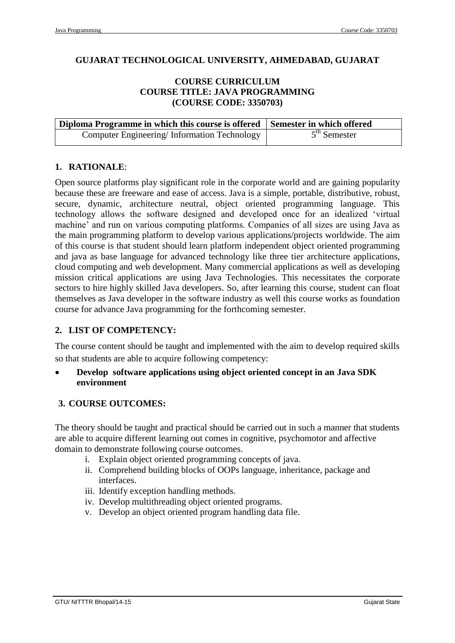#### **GUJARAT TECHNOLOGICAL UNIVERSITY, AHMEDABAD, GUJARAT**

#### **COURSE CURRICULUM COURSE TITLE: JAVA PROGRAMMING (COURSE CODE: 3350703)**

| Diploma Programme in which this course is offered Semester in which offered |                |
|-----------------------------------------------------------------------------|----------------|
| Computer Engineering/Information Technology                                 | $5th$ Semester |

#### **1. RATIONALE**:

Open source platforms play significant role in the corporate world and are gaining popularity because these are freeware and ease of access. Java is a simple, portable, distributive, robust, secure, dynamic, architecture neutral, object oriented programming language. This technology allows the software designed and developed once for an idealized 'virtual machine' and run on various computing platforms. Companies of all sizes are using Java as the main programming platform to develop various applications/projects worldwide. The aim of this course is that student should learn platform independent object oriented programming and java as base language for advanced technology like three tier architecture applications, cloud computing and web development. Many commercial applications as well as developing mission critical applications are using Java Technologies. This necessitates the corporate sectors to hire highly skilled Java developers. So, after learning this course, student can float themselves as Java developer in the software industry as well this course works as foundation course for advance Java programming for the forthcoming semester.

# **2. LIST OF COMPETENCY:**

The course content should be taught and implemented with the aim to develop required skills so that students are able to acquire following competency:

 **Develop software applications using object oriented concept in an Java SDK environment** 

# **3. COURSE OUTCOMES:**

The theory should be taught and practical should be carried out in such a manner that students are able to acquire different learning out comes in cognitive, psychomotor and affective domain to demonstrate following course outcomes.

- i. Explain object oriented programming concepts of java.
- ii. Comprehend building blocks of OOPs language, inheritance, package and interfaces.
- iii. Identify exception handling methods.
- iv. Develop multithreading object oriented programs.
- v. Develop an object oriented program handling data file.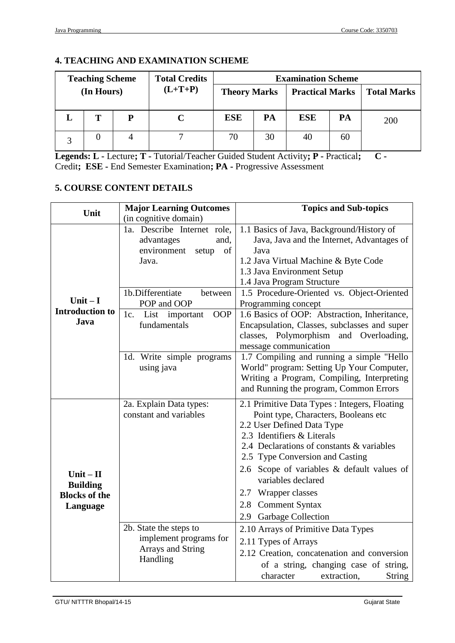# **4. TEACHING AND EXAMINATION SCHEME**

| <b>Total Credits</b><br><b>Teaching Scheme</b> |   |           |                     | <b>Examination Scheme</b> |    |            |                        |     |                    |
|------------------------------------------------|---|-----------|---------------------|---------------------------|----|------------|------------------------|-----|--------------------|
| (In Hours)                                     |   | $(L+T+P)$ | <b>Theory Marks</b> |                           |    |            | <b>Practical Marks</b> |     | <b>Total Marks</b> |
|                                                | т | P         |                     | <b>ESE</b>                | PA | <b>ESE</b> | PA                     | 200 |                    |
|                                                |   |           |                     | 70                        | 30 | 40         | 60                     |     |                    |

**Legends: L -** Lecture**; T -** Tutorial/Teacher Guided Student Activity**; P -** Practical**; C -** Credit**; ESE -** End Semester Examination**; PA -** Progressive Assessment

# **5. COURSE CONTENT DETAILS**

| Unit                   | <b>Major Learning Outcomes</b> | <b>Topics and Sub-topics</b>                                       |  |  |  |
|------------------------|--------------------------------|--------------------------------------------------------------------|--|--|--|
|                        | (in cognitive domain)          |                                                                    |  |  |  |
|                        | 1a. Describe Internet role,    | 1.1 Basics of Java, Background/History of                          |  |  |  |
|                        | and,<br>advantages             | Java, Java and the Internet, Advantages of                         |  |  |  |
|                        | environment<br>of<br>setup     | Java                                                               |  |  |  |
|                        | Java.                          | 1.2 Java Virtual Machine & Byte Code                               |  |  |  |
|                        |                                | 1.3 Java Environment Setup                                         |  |  |  |
|                        |                                | 1.4 Java Program Structure                                         |  |  |  |
|                        | 1b.Differentiate<br>between    | 1.5 Procedure-Oriented vs. Object-Oriented                         |  |  |  |
| Unit $-I$              | POP and OOP                    | Programming concept                                                |  |  |  |
| <b>Introduction to</b> | OOP<br>1c.<br>List important   | 1.6 Basics of OOP: Abstraction, Inheritance,                       |  |  |  |
| Java                   | fundamentals                   | Encapsulation, Classes, subclasses and super                       |  |  |  |
|                        |                                | classes, Polymorphism and Overloading,                             |  |  |  |
|                        |                                | message communication<br>1.7 Compiling and running a simple "Hello |  |  |  |
|                        | 1d. Write simple programs      |                                                                    |  |  |  |
|                        | using java                     | World" program: Setting Up Your Computer,                          |  |  |  |
|                        |                                | Writing a Program, Compiling, Interpreting                         |  |  |  |
|                        |                                | and Running the program, Common Errors                             |  |  |  |
|                        | 2a. Explain Data types:        | 2.1 Primitive Data Types : Integers, Floating                      |  |  |  |
|                        | constant and variables         | Point type, Characters, Booleans etc                               |  |  |  |
|                        |                                | 2.2 User Defined Data Type                                         |  |  |  |
|                        |                                | 2.3 Identifiers & Literals                                         |  |  |  |
|                        |                                | 2.4 Declarations of constants & variables                          |  |  |  |
|                        |                                | 2.5 Type Conversion and Casting                                    |  |  |  |
| Unit $-$ II            |                                | 2.6 Scope of variables & default values of                         |  |  |  |
| <b>Building</b>        |                                | variables declared                                                 |  |  |  |
| <b>Blocks of the</b>   |                                | 2.7 Wrapper classes                                                |  |  |  |
| Language               |                                | 2.8 Comment Syntax                                                 |  |  |  |
|                        |                                | 2.9 Garbage Collection                                             |  |  |  |
|                        | 2b. State the steps to         | 2.10 Arrays of Primitive Data Types                                |  |  |  |
|                        | implement programs for         | 2.11 Types of Arrays                                               |  |  |  |
|                        | Arrays and String              | 2.12 Creation, concatenation and conversion                        |  |  |  |
|                        | Handling                       | of a string, changing case of string,                              |  |  |  |
|                        |                                | character<br>extraction.<br><b>String</b>                          |  |  |  |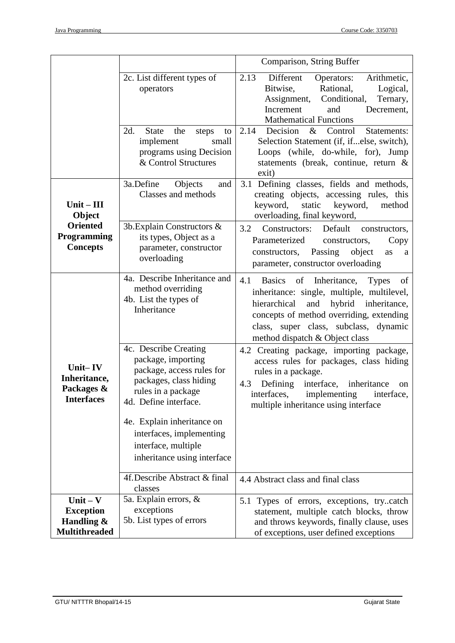|                                                                      |                                                                                                                                                   | Comparison, String Buffer                                                                                                                                                                                                                                              |
|----------------------------------------------------------------------|---------------------------------------------------------------------------------------------------------------------------------------------------|------------------------------------------------------------------------------------------------------------------------------------------------------------------------------------------------------------------------------------------------------------------------|
|                                                                      | 2c. List different types of<br>operators                                                                                                          | 2.13<br>Different<br>Arithmetic,<br>Operators:<br>Bitwise,<br>Rational,<br>Logical,<br>Conditional,<br>Assignment,<br>Ternary,<br>Increment<br>and<br>Decrement,<br><b>Mathematical Functions</b>                                                                      |
|                                                                      | 2d.<br><b>State</b><br>the<br>steps<br>to<br>small<br>implement<br>programs using Decision<br>& Control Structures                                | 2.14<br>Decision<br>Statements:<br>Control<br>$\&$<br>Selection Statement (if, ifelse, switch),<br>Loops (while, do-while, for), Jump<br>statements (break, continue, return &<br>exit)                                                                                |
| $Unit - III$<br>Object                                               | 3a.Define<br>Objects<br>and<br>Classes and methods                                                                                                | 3.1 Defining classes, fields and methods,<br>creating objects, accessing rules, this<br>keyword,<br>static<br>keyword,<br>method<br>overloading, final keyword,                                                                                                        |
| <b>Oriented</b><br>Programming<br><b>Concepts</b>                    | 3b. Explain Constructors &<br>its types, Object as a<br>parameter, constructor<br>overloading                                                     | 3.2<br>Default<br>Constructors:<br>constructors,<br>Parameterized<br>constructors,<br>Copy<br>Passing<br>object<br>constructors,<br>as<br>a<br>parameter, constructor overloading                                                                                      |
|                                                                      | 4a. Describe Inheritance and<br>method overriding<br>4b. List the types of<br>Inheritance                                                         | 4.1<br>of Inheritance, Types<br><b>Basics</b><br>of<br>inheritance: single, multiple, multilevel,<br>hierarchical<br>hybrid inheritance,<br>and<br>concepts of method overriding, extending<br>class, super class, subclass, dynamic<br>method dispatch & Object class |
| Unit-IV<br>Inheritance,<br>Packages &<br><b>Interfaces</b>           | 4c. Describe Creating<br>package, importing<br>package, access rules for<br>packages, class hiding<br>rules in a package<br>4d. Define interface. | 4.2 Creating package, importing package,<br>access rules for packages, class hiding<br>rules in a package.<br>Defining<br>interface, inheritance<br>4.3<br>on<br>interfaces, implementing interface,<br>multiple inheritance using interface                           |
|                                                                      | 4e. Explain inheritance on<br>interfaces, implementing<br>interface, multiple<br>inheritance using interface                                      |                                                                                                                                                                                                                                                                        |
|                                                                      | 4f. Describe Abstract & final<br>classes                                                                                                          | 4.4 Abstract class and final class                                                                                                                                                                                                                                     |
| Unit $-$ V<br><b>Exception</b><br>Handling &<br><b>Multithreaded</b> | 5a. Explain errors, &<br>exceptions<br>5b. List types of errors                                                                                   | 5.1 Types of errors, exceptions, trycatch<br>statement, multiple catch blocks, throw<br>and throws keywords, finally clause, uses<br>of exceptions, user defined exceptions                                                                                            |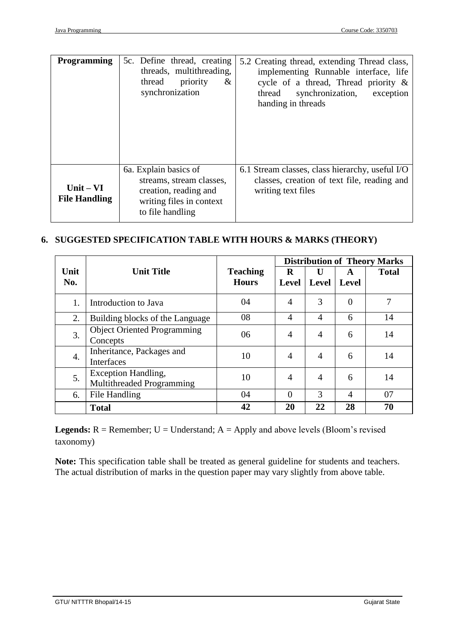| <b>Programming</b>                  | 5c. Define thread, creating<br>threads, multithreading,<br>priority<br>thread<br>&<br>synchronization                      | 5.2 Creating thread, extending Thread class,<br>implementing Runnable interface, life<br>cycle of a thread, Thread priority $\&$<br>synchronization, exception<br>thread<br>handing in threads |
|-------------------------------------|----------------------------------------------------------------------------------------------------------------------------|------------------------------------------------------------------------------------------------------------------------------------------------------------------------------------------------|
| $Unit - VI$<br><b>File Handling</b> | 6a. Explain basics of<br>streams, stream classes,<br>creation, reading and<br>writing files in context<br>to file handling | 6.1 Stream classes, class hierarchy, useful I/O<br>classes, creation of text file, reading and<br>writing text files                                                                           |

# **6. SUGGESTED SPECIFICATION TABLE WITH HOURS & MARKS (THEORY)**

|             |                                                         |                                 | <b>Distribution of Theory Marks</b> |                |                |              |
|-------------|---------------------------------------------------------|---------------------------------|-------------------------------------|----------------|----------------|--------------|
| Unit<br>No. | <b>Unit Title</b>                                       | <b>Teaching</b><br><b>Hours</b> | R<br><b>Level</b>                   | U<br>Level     | A<br>Level     | <b>Total</b> |
| 1.          | Introduction to Java                                    | 04                              | $\overline{4}$                      | 3              | $\overline{0}$ |              |
| 2.          | Building blocks of the Language                         | 08                              | 4                                   | 4              | 6              | 14           |
| 3.          | <b>Object Oriented Programming</b><br>Concepts          | 06                              | $\overline{4}$                      | $\overline{4}$ | 6              | 14           |
| 4.          | Inheritance, Packages and<br><b>Interfaces</b>          | 10                              | 4                                   | 4              | 6              | 14           |
| 5.          | <b>Exception Handling,</b><br>Multithreaded Programming | 10                              | $\overline{4}$                      | $\overline{4}$ | 6              | 14           |
| 6.          | File Handling                                           | 04                              | $\theta$                            | 3              | 4              | 07           |
|             | <b>Total</b>                                            | 42                              | 20                                  | 22             | 28             | 70           |

**Legends:**  $R =$  Remember;  $U =$  Understand;  $A =$  Apply and above levels (Bloom's revised taxonomy)

**Note:** This specification table shall be treated as general guideline for students and teachers. The actual distribution of marks in the question paper may vary slightly from above table.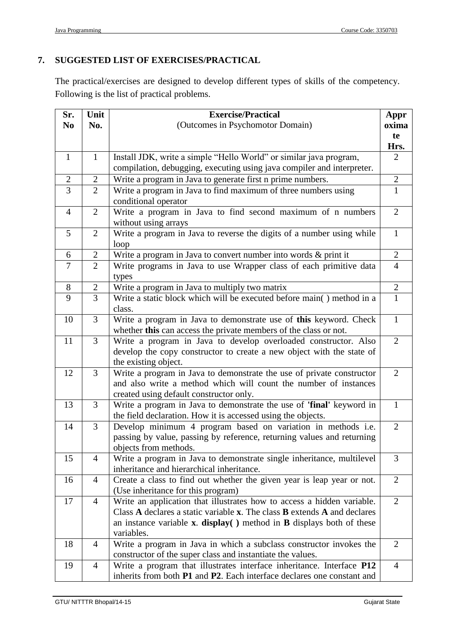#### **7. SUGGESTED LIST OF EXERCISES/PRACTICAL**

The practical/exercises are designed to develop different types of skills of the competency. Following is the list of practical problems.

| Sr.            | Unit           | <b>Exercise/Practical</b>                                                                   |                |  |
|----------------|----------------|---------------------------------------------------------------------------------------------|----------------|--|
| N <sub>0</sub> | No.            | (Outcomes in Psychomotor Domain)                                                            |                |  |
|                |                |                                                                                             |                |  |
|                |                |                                                                                             |                |  |
| $\mathbf{1}$   | $\mathbf{1}$   | Install JDK, write a simple "Hello World" or similar java program,                          | $\overline{2}$ |  |
|                |                | compilation, debugging, executing using java compiler and interpreter.                      |                |  |
| $\mathbf{2}$   | $\overline{2}$ | Write a program in Java to generate first n prime numbers.                                  | $\mathbf{2}$   |  |
| $\overline{3}$ | $\overline{2}$ | Write a program in Java to find maximum of three numbers using                              | $\mathbf{1}$   |  |
|                |                | conditional operator                                                                        |                |  |
| $\overline{4}$ | $\overline{2}$ | Write a program in Java to find second maximum of n numbers                                 | $\overline{2}$ |  |
|                |                | without using arrays                                                                        |                |  |
| 5              | $\overline{2}$ | Write a program in Java to reverse the digits of a number using while                       | $\mathbf{1}$   |  |
|                |                | loop                                                                                        |                |  |
| 6              | $\overline{2}$ | Write a program in Java to convert number into words & print it                             | $\overline{2}$ |  |
| $\overline{7}$ | $\overline{2}$ | Write programs in Java to use Wrapper class of each primitive data                          | $\overline{4}$ |  |
|                |                | types                                                                                       |                |  |
| 8              | $\mathbf{2}$   | Write a program in Java to multiply two matrix                                              | $\overline{2}$ |  |
| 9              | 3              | Write a static block which will be executed before main() method in a                       | $\mathbf{1}$   |  |
|                |                | class.                                                                                      |                |  |
| 10             | $\overline{3}$ | Write a program in Java to demonstrate use of this keyword. Check                           | $\mathbf{1}$   |  |
|                |                | whether this can access the private members of the class or not.                            |                |  |
| 11             | $\overline{3}$ | Write a program in Java to develop overloaded constructor. Also                             | $\overline{2}$ |  |
|                |                | develop the copy constructor to create a new object with the state of                       |                |  |
|                |                | the existing object.                                                                        |                |  |
| 12             | $\overline{3}$ | Write a program in Java to demonstrate the use of private constructor                       | $\overline{2}$ |  |
|                |                | and also write a method which will count the number of instances                            |                |  |
|                |                | created using default constructor only.                                                     |                |  |
| 13             | 3              | Write a program in Java to demonstrate the use of 'final' keyword in                        |                |  |
|                |                | the field declaration. How it is accessed using the objects.                                |                |  |
| 14             | 3              | Develop minimum 4 program based on variation in methods i.e.                                | $\overline{2}$ |  |
|                |                | passing by value, passing by reference, returning values and returning                      |                |  |
|                |                | objects from methods.                                                                       |                |  |
| 15             | 4              | Write a program in Java to demonstrate single inheritance, multilevel                       | 3              |  |
|                |                | inheritance and hierarchical inheritance.                                                   |                |  |
| 16             | $\overline{4}$ | Create a class to find out whether the given year is leap year or not.                      | $\overline{2}$ |  |
|                |                | (Use inheritance for this program)                                                          |                |  |
| 17             | $\overline{4}$ | Write an application that illustrates how to access a hidden variable.                      | $\overline{2}$ |  |
|                |                | Class A declares a static variable x. The class B extends A and declares                    |                |  |
|                |                | an instance variable $x$ . <b>display</b> ( $x$ ) method in <b>B</b> displays both of these |                |  |
|                |                | variables.                                                                                  | $\overline{2}$ |  |
| 18             | $\overline{4}$ | Write a program in Java in which a subclass constructor invokes the                         |                |  |
|                |                | constructor of the super class and instantiate the values.                                  |                |  |
| 19             | $\overline{4}$ | Write a program that illustrates interface inheritance. Interface P12                       | $\overline{4}$ |  |
|                |                | inherits from both P1 and P2. Each interface declares one constant and                      |                |  |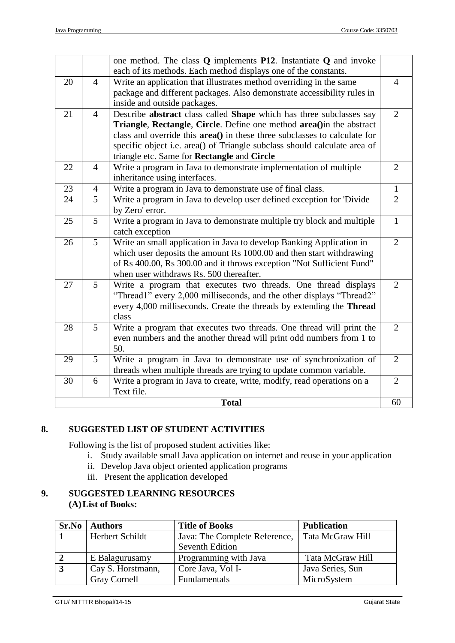| <b>Total</b> |                |                                                                                                                                                                                                                                                                                |                      |
|--------------|----------------|--------------------------------------------------------------------------------------------------------------------------------------------------------------------------------------------------------------------------------------------------------------------------------|----------------------|
| 30           | 6              | Write a program in Java to create, write, modify, read operations on a<br>Text file.                                                                                                                                                                                           | $\overline{2}$<br>60 |
| 29           | 5              | Write a program in Java to demonstrate use of synchronization of<br>threads when multiple threads are trying to update common variable.                                                                                                                                        | $\overline{2}$       |
| 28           | 5              | Write a program that executes two threads. One thread will print the<br>even numbers and the another thread will print odd numbers from 1 to<br>50.                                                                                                                            | $\overline{2}$       |
| 27           | $\mathfrak{S}$ | Write a program that executes two threads. One thread displays<br>"Thread1" every 2,000 milliseconds, and the other displays "Thread2"<br>every 4,000 milliseconds. Create the threads by extending the Thread<br>class                                                        | $\overline{2}$       |
| 26           | 5              | Write an small application in Java to develop Banking Application in<br>which user deposits the amount Rs 1000.00 and then start withdrawing<br>of Rs 400.00, Rs 300.00 and it throws exception "Not Sufficient Fund"<br>when user withdraws Rs. 500 thereafter.               | $\overline{2}$       |
| 25           | 5              | Write a program in Java to demonstrate multiple try block and multiple<br>catch exception                                                                                                                                                                                      | $\mathbf{1}$         |
| 24           | 5              | Write a program in Java to develop user defined exception for 'Divide<br>by Zero' error.                                                                                                                                                                                       | $\overline{2}$       |
| 23           | $\overline{4}$ | Write a program in Java to demonstrate use of final class.                                                                                                                                                                                                                     | $\mathbf{1}$         |
| 22           | $\overline{4}$ | Write a program in Java to demonstrate implementation of multiple<br>inheritance using interfaces.                                                                                                                                                                             | $\overline{2}$       |
|              |                | Triangle, Rectangle, Circle. Define one method area() in the abstract<br>class and override this area() in these three subclasses to calculate for<br>specific object i.e. area() of Triangle subclass should calculate area of<br>triangle etc. Same for Rectangle and Circle |                      |
| 21           | $\overline{4}$ | inside and outside packages.<br>Describe abstract class called Shape which has three subclasses say                                                                                                                                                                            | $\overline{2}$       |
| 20           | $\overline{4}$ | Write an application that illustrates method overriding in the same<br>package and different packages. Also demonstrate accessibility rules in                                                                                                                                 | $\overline{4}$       |
|              |                | one method. The class Q implements P12. Instantiate Q and invoke<br>each of its methods. Each method displays one of the constants.                                                                                                                                            |                      |

# **8. SUGGESTED LIST OF STUDENT ACTIVITIES**

Following is the list of proposed student activities like:

- i. Study available small Java application on internet and reuse in your application
- ii. Develop Java object oriented application programs
- iii. Present the application developed

# **9. SUGGESTED LEARNING RESOURCES (A)List of Books:**

| Sr.No | <b>Authors</b>      | <b>Title of Books</b>         | <b>Publication</b> |
|-------|---------------------|-------------------------------|--------------------|
|       | Herbert Schildt     | Java: The Complete Reference, | Tata McGraw Hill   |
|       |                     | <b>Seventh Edition</b>        |                    |
|       | E Balagurusamy      | Programming with Java         | Tata McGraw Hill   |
|       | Cay S. Horstmann,   | Core Java, Vol I-             | Java Series, Sun   |
|       | <b>Gray Cornell</b> | Fundamentals                  | MicroSystem        |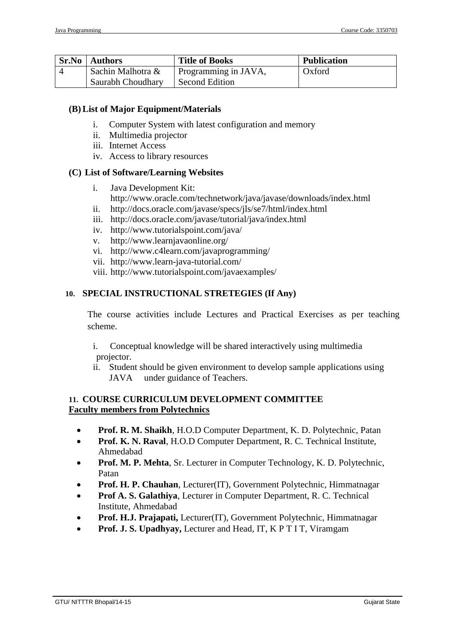| Sr.No          | Authors           | <b>Title of Books</b>  | <b>Publication</b> |
|----------------|-------------------|------------------------|--------------------|
| $\overline{4}$ | Sachin Malhotra & | I Programming in JAVA, | Oxford             |
|                | Saurabh Choudhary | <b>Second Edition</b>  |                    |

#### **(B)List of Major Equipment/Materials**

- i. Computer System with latest configuration and memory
- ii. Multimedia projector
- iii. Internet Access
- iv. Access to library resources

#### **(C) List of Software/Learning Websites**

- i. Java Development Kit:
	- http://www.oracle.com/technetwork/java/javase/downloads/index.html
- ii. http://docs.oracle.com/javase/specs/jls/se7/html/index.html
- iii. http://docs.oracle.com/javase/tutorial/java/index.html
- iv. http://www.tutorialspoint.com/java/
- v. http://www.learnjavaonline.org/
- vi. http://www.c4learn.com/javaprogramming/
- vii. http://www.learn-java-tutorial.com/
- viii. <http://www.tutorialspoint.com/javaexamples/>

#### **10. SPECIAL INSTRUCTIONAL STRETEGIES (If Any)**

The course activities include Lectures and Practical Exercises as per teaching scheme.

- i. Conceptual knowledge will be shared interactively using multimedia projector.
- ii. Student should be given environment to develop sample applications using JAVA under guidance of Teachers.

#### **11. COURSE CURRICULUM DEVELOPMENT COMMITTEE Faculty members from Polytechnics**

- **Prof. R. M. Shaikh**, H.O.D Computer Department, K. D. Polytechnic, Patan
- **Prof. K. N. Raval**, H.O.D Computer Department, R. C. Technical Institute, Ahmedabad
- **Prof. M. P. Mehta**, Sr. Lecturer in Computer Technology, K. D. Polytechnic, Patan
- **Prof. H. P. Chauhan**, Lecturer(IT), Government Polytechnic, Himmatnagar
- **Prof A. S. Galathiya**, Lecturer in Computer Department, R. C. Technical Institute, Ahmedabad
- **Prof. H.J. Prajapati,** Lecturer(IT), Government Polytechnic, Himmatnagar
- **Prof. J. S. Upadhyay,** Lecturer and Head, IT, K P T I T, Viramgam